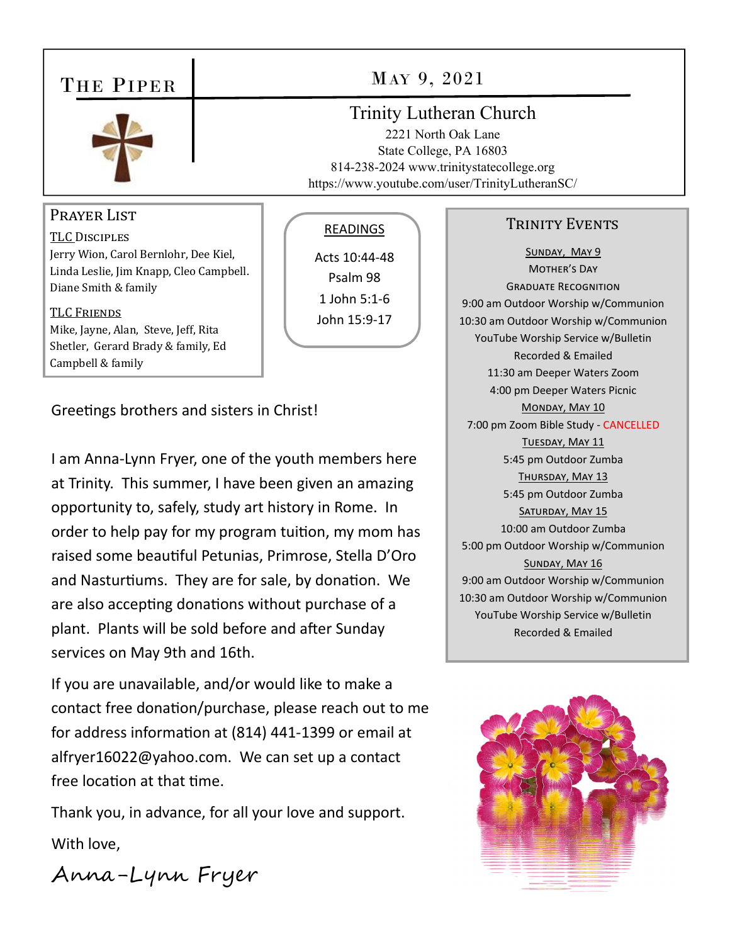# THE PIPER



#### PRAYER LIST

**TLC DISCIPLES** Jerry Wion, Carol Bernlohr, Dee Kiel, Linda Leslie, Jim Knapp, Cleo Campbell. Diane Smith & family

#### **TLC FRIENDS**

Mike, Jayne, Alan, Steve, Jeff, Rita Shetler, Gerard Brady & family, Ed Campbell & family

Greetings brothers and sisters in Christ!

I am Anna-Lynn Fryer, one of the youth members here at Trinity. This summer, I have been given an amazing opportunity to, safely, study art history in Rome. In order to help pay for my program tuition, my mom has raised some beautiful Petunias, Primrose, Stella D'Oro and Nasturtiums. They are for sale, by donation. We are also accepting donations without purchase of a plant. Plants will be sold before and after Sunday services on May 9th and 16th.

If you are unavailable, and/or would like to make a contact free donation/purchase, please reach out to me for address information at (814) 441-1399 or email at alfryer16022@yahoo.com. We can set up a contact free location at that time.

Thank you, in advance, for all your love and support. With love,

## MAY 9, 2021

### **Trinity Lutheran Church**

2221 North Oak Lane State College, PA 16803 814-238-2024 www.trinitystatecollege.org https://www.youtube.com/user/TrinityLutheranSC/

#### READINGS

Acts 10:44-48 Psalm 98 1 John 5:1-6 John 15:9-17

#### **TRINITY EVENTS**

SUNDAY, MAY 9 MOTHER'S DAY **GRADUATE RECOGNITION** 9:00 am Outdoor Worship w/Communion 10:30 am Outdoor Worship w/Communion YouTube Worship Service w/Bulletin **Recorded & Emailed** 11:30 am Deeper Waters Zoom 4:00 pm Deeper Waters Picnic MONDAY, MAY 10 7:00 pm Zoom Bible Study - CANCELLED TUESDAY, MAY 11 5:45 pm Outdoor Zumba THURSDAY, MAY 13 5:45 pm Outdoor Zumba SATURDAY, MAY 15 10:00 am Outdoor Zumba 5:00 pm Outdoor Worship w/Communion SUNDAY, MAY 16 9:00 am Outdoor Worship w/Communion 10:30 am Outdoor Worship w/Communion YouTube Worship Service w/Bulletin **Recorded & Emailed** 



Anna-Lynn Fryer